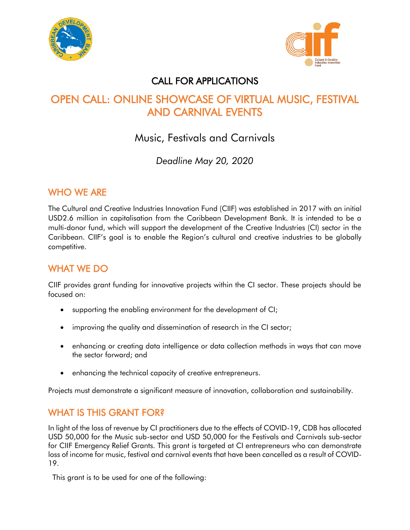



#### CALL FOR APPLICATIONS

# OPEN CALL: ONLINE SHOWCASE OF VIRTUAL MUSIC, FESTIVAL AND CARNIVAL EVENTS

## Music, Festivals and Carnivals

*Deadline May 20, 2020*

#### WHO WE ARE

The Cultural and Creative Industries Innovation Fund (CIIF) was established in 2017 with an initial USD2.6 million in capitalisation from the Caribbean Development Bank. It is intended to be a multi-donor fund, which will support the development of the Creative Industries (CI) sector in the Caribbean. CIIF's goal is to enable the Region's cultural and creative industries to be globally competitive.

### WHAT WE DO

CIIF provides grant funding for innovative projects within the CI sector. These projects should be focused on:

- supporting the enabling environment for the development of CI;
- improving the quality and dissemination of research in the CI sector;
- enhancing or creating data intelligence or data collection methods in ways that can move the sector forward; and
- enhancing the technical capacity of creative entrepreneurs.

Projects must demonstrate a significant measure of innovation, collaboration and sustainability.

#### WHAT IS THIS GRANT FOR?

In light of the loss of revenue by CI practitioners due to the effects of COVID-19, CDB has allocated USD 50,000 for the Music sub-sector and USD 50,000 for the Festivals and Carnivals sub-sector for CIIF Emergency Relief Grants. This grant is targeted at CI entrepreneurs who can demonstrate loss of income for music, festival and carnival events that have been cancelled as a result of COVID-19.

This grant is to be used for one of the following: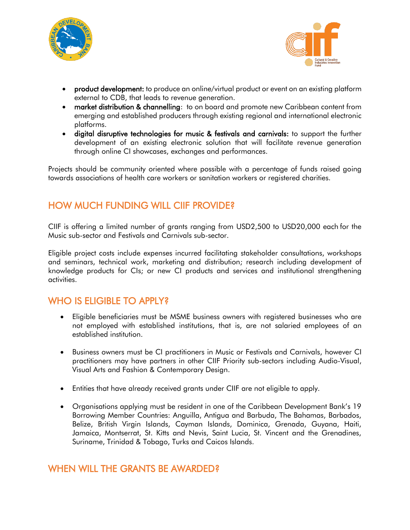



- product development: to produce an online/virtual product or event on an existing platform external to CDB, that leads to revenue generation.
- market distribution & channelling: to on board and promote new Caribbean content from emerging and established producers through existing regional and international electronic platforms.
- digital disruptive technologies for music & festivals and carnivals: to support the further development of an existing electronic solution that will facilitate revenue generation through online CI showcases, exchanges and performances.

Projects should be community oriented where possible with a percentage of funds raised going towards associations of health care workers or sanitation workers or registered charities.

#### HOW MUCH FUNDING WILL CIIF PROVIDE?

CIIF is offering a limited number of grants ranging from USD2,500 to USD20,000 each for the Music sub-sector and Festivals and Carnivals sub-sector.

Eligible project costs include expenses incurred facilitating stakeholder consultations, workshops and seminars, technical work, marketing and distribution; research including development of knowledge products for CIs; or new CI products and services and institutional strengthening activities.

#### WHO IS ELIGIBLE TO APPLY?

- Eligible beneficiaries must be MSME business owners with registered businesses who are not employed with established institutions, that is, are not salaried employees of an established institution.
- Business owners must be CI practitioners in Music or Festivals and Carnivals, however CI practitioners may have partners in other CIIF Priority sub-sectors including Audio-Visual, Visual Arts and Fashion & Contemporary Design.
- Entities that have already received grants under CIIF are not eligible to apply.
- Organisations applying must be resident in one of the Caribbean Development Bank's 19 Borrowing Member Countries: Anguilla, Antigua and Barbuda, The Bahamas, Barbados, Belize, British Virgin Islands, Cayman Islands, Dominica, Grenada, Guyana, Haiti, Jamaica, Montserrat, St. Kitts and Nevis, Saint Lucia, St. Vincent and the Grenadines, Suriname, Trinidad & Tobago, Turks and Caicos Islands.

#### WHEN WILL THE GRANTS BE AWARDED?